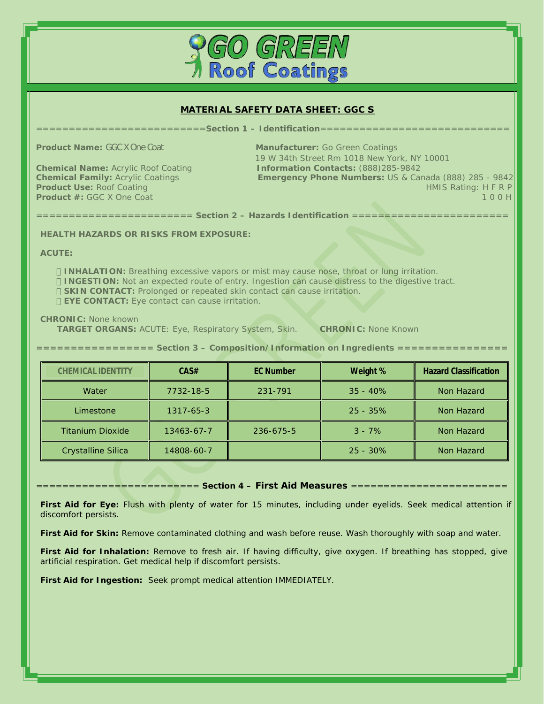

# **MATERIAL SAFETY DATA SHEET: GGC S**

==========================**Section 1 – Identification**=============================

**Product Name:** GGC X One Coat **Manufacturer:** Go Green Coatings 19 W 34th Street Rm 1018 New York, NY 10001<br>Chemical Name: Acrylic Roof Coating The Context of Line Museum Changes (Research 1996)<br>Change Mumbargu US & Canada (8 **Chemical Name:** Acrylic Roof Coating **Information Contacts:** (888)285-9842 **Chemical Family:** Acrylic Coatings **Emergency Phone Numbers:** US & Canada (888) 285 - 9842 **Product Use:** Roof Coating HMIS Rating: H F R P **Product #: GGC X One Coat 1 0 0 H** 

======================== **Section 2 – Hazards Identification** ========================

**HEALTH HAZARDS OR RISKS FROM EXPOSURE:** 

**ACUTE:** 

**INHALATION:** Breathing excessive vapors or mist may cause nose, throat or lung irritation. **INGESTION:** Not an expected route of entry. Ingestion can cause distress to the digestive tract. **SKIN CONTACT:** Prolonged or repeated skin contact can cause irritation. **EYE CONTACT:** Eye contact can cause irritation.

**CHRONIC:** None known

**TARGET ORGANS:** ACUTE: Eye, Respiratory System, Skin. **CHRONIC:** None Known

| ================== Section 3 - Composition/Information on Ingredients ================ |  |  |  |  |  |
|----------------------------------------------------------------------------------------|--|--|--|--|--|
|----------------------------------------------------------------------------------------|--|--|--|--|--|

| <b>CHEMICAL IDENTITY</b> | CAS#            | <b>EC Number</b> | Weight %    | <b>Hazard Classification</b> |
|--------------------------|-----------------|------------------|-------------|------------------------------|
| Water                    | 7732-18-5       | 231-791          | $35 - 40\%$ | Non Hazard                   |
| Limestone                | $1317 - 65 - 3$ |                  | $25 - 35\%$ | Non Hazard                   |
| <b>Titanium Dioxide</b>  | 13463-67-7      | 236-675-5        | $3 - 7\%$   | Non Hazard                   |
| Crystalline Silica       | 14808-60-7      |                  | $25 - 30\%$ | Non Hazard                   |

========================= **Section 4 – First Aid Measures** ========================

**First Aid for Eye:** Flush with plenty of water for 15 minutes, including under eyelids. Seek medical attention if discomfort persists.

**First Aid for Skin:** Remove contaminated clothing and wash before reuse. Wash thoroughly with soap and water.

**First Aid for Inhalation:** Remove to fresh air. If having difficulty, give oxygen. If breathing has stopped, give artificial respiration. Get medical help if discomfort persists.

**First Aid for Ingestion:** Seek prompt medical attention IMMEDIATELY.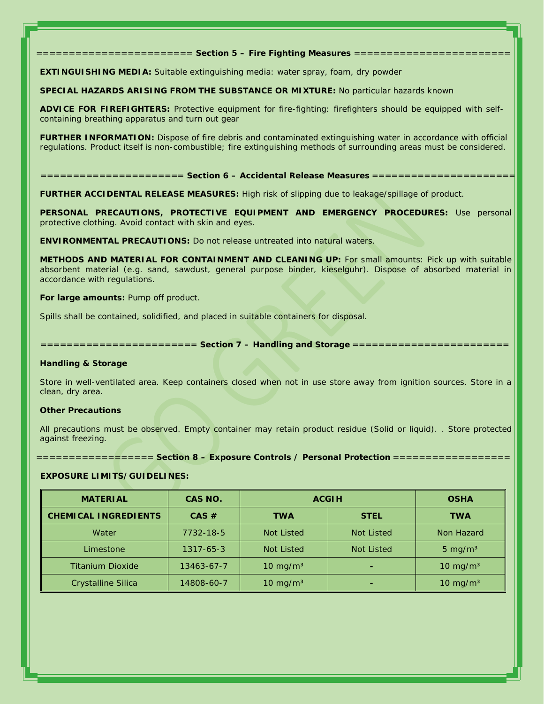$=$  Section 5 - Fire Fighting Measures =

**EXTINGUISHING MEDIA:** Suitable extinguishing media: water spray, foam, dry powder

**SPECIAL HAZARDS ARISING FROM THE SUBSTANCE OR MIXTURE:** No particular hazards known

**ADVICE FOR FIREFIGHTERS:** Protective equipment for fire-fighting: firefighters should be equipped with selfcontaining breathing apparatus and turn out gear

**FURTHER INFORMATION:** Dispose of fire debris and contaminated extinguishing water in accordance with official regulations. Product itself is non-combustible; fire extinguishing methods of surrounding areas must be considered.

====================== **Section 6 – Accidental Release Measures** ======================

**FURTHER ACCIDENTAL RELEASE MEASURES:** High risk of slipping due to leakage/spillage of product.

**PERSONAL PRECAUTIONS, PROTECTIVE EQUIPMENT AND EMERGENCY PROCEDURES:** Use personal protective clothing. Avoid contact with skin and eyes.

**ENVIRONMENTAL PRECAUTIONS:** Do not release untreated into natural waters.

**METHODS AND MATERIAL FOR CONTAINMENT AND CLEANING UP:** For small amounts: Pick up with suitable absorbent material (e.g. sand, sawdust, general purpose binder, kieselguhr). Dispose of absorbed material in accordance with regulations.

**For large amounts:** Pump off product.

Spills shall be contained, solidified, and placed in suitable containers for disposal.

 $=$  Section 7 - Handling and Storage =

**Handling & Storage** 

Store in well-ventilated area. Keep containers closed when not in use store away from ignition sources. Store in a clean, dry area.

### **Other Precautions**

All precautions must be observed. Empty container may retain product residue (Solid or liquid). . Store protected against freezing.

 $=$  Section 8 - Exposure Controls / Personal Protection

### **EXPOSURE LIMITS/GUIDELINES:**

| <b>MATERIAL</b>         | CAS NO.    | <b>ACGIH</b>        |                   | <b>OSHA</b>         |
|-------------------------|------------|---------------------|-------------------|---------------------|
| CHEMICAL INGREDIENTS    | CAS #      | <b>TWA</b>          | <b>STEL</b>       | <b>TWA</b>          |
| Water                   | 7732-18-5  | <b>Not Listed</b>   | <b>Not Listed</b> | Non Hazard          |
| Limestone               | 1317-65-3  | <b>Not Listed</b>   | <b>Not Listed</b> | 5 mg/m $3$          |
| <b>Titanium Dioxide</b> | 13463-67-7 | $10 \text{ mg/m}^3$ |                   | $10 \text{ mg/m}^3$ |
| Crystalline Silica      | 14808-60-7 | $10 \text{ mg/m}^3$ |                   | $10 \text{ mg/m}^3$ |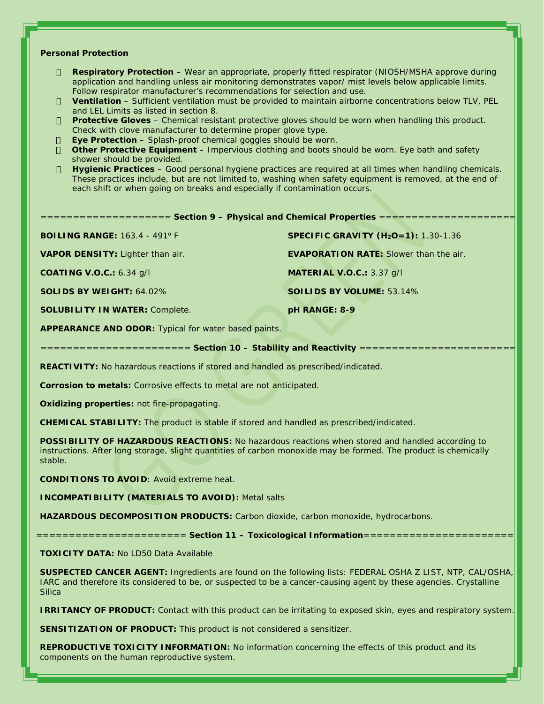## **Personal Protection**

**Respiratory Protection** – Wear an appropriate, properly fitted respirator (NIOSH/MSHA approve during application and handling unless air monitoring demonstrates vapor/ mist levels below applicable limits. Follow respirator manufacturer's recommendations for selection and use.

**Ventilation** – Sufficient ventilation must be provided to maintain airborne concentrations below TLV, PEL and LEL Limits as listed in section 8.

**Protective Gloves** – Chemical resistant protective gloves should be worn when handling this product. Check with clove manufacturer to determine proper glove type.

**Eye Protection** – Splash-proof chemical goggles should be worn.

**Other Protective Equipment** – Impervious clothing and boots should be worn. Eye bath and safety shower should be provided.

**Hygienic Practices** – Good personal hygiene practices are required at all times when handling chemicals. These practices include, but are not limited to, washing when safety equipment is removed, at the end of each shift or when going on breaks and especially if contamination occurs.

**BOILING RANGE:** 163.4 - 491<sup>o</sup> F **SPECIFIC GRAVITY (H2O=1):** 1.30-1.36

**SOLUBILITY IN WATER:** Complete. **pH RANGE: 8-9** 

**VAPOR DENSITY:** Lighter than air. **EVAPORATION RATE:** Slower than the air.

**COATING V.O.C.:** 6.34 g/l **MATERIAL V.O.C.:** 3.37 g/l

**SOLIDS BY WEIGHT:** 64.02% **SOILIDS BY VOLUME:** 53.14%

**APPEARANCE AND ODOR:** Typical for water based paints.

 $=$  **Section 10 - Stability and Reactivity** =

**REACTIVITY:** No hazardous reactions if stored and handled as prescribed/indicated.

**Corrosion to metals:** Corrosive effects to metal are not anticipated.

**Oxidizing properties:** not fire-propagating.

**CHEMICAL STABILITY:** The product is stable if stored and handled as prescribed/indicated.

**POSSIBILITY OF HAZARDOUS REACTIONS:** No hazardous reactions when stored and handled according to instructions. After long storage, slight quantities of carbon monoxide may be formed. The product is chemically stable.

**CONDITIONS TO AVOID**: Avoid extreme heat.

**INCOMPATIBILITY (MATERIALS TO AVOID):** Metal salts

**HAZARDOUS DECOMPOSITION PRODUCTS:** Carbon dioxide, carbon monoxide, hydrocarbons.

 $=$  Section 11 - Toxicological Information ==

**TOXICITY DATA:** No LD50 Data Available

**SUSPECTED CANCER AGENT:** Ingredients are found on the following lists: FEDERAL OSHA Z LIST, NTP, CAL/OSHA, IARC and therefore its considered to be, or suspected to be a cancer-causing agent by these agencies. Crystalline **Silica** 

**IRRITANCY OF PRODUCT:** Contact with this product can be irritating to exposed skin, eyes and respiratory system.

**SENSITIZATION OF PRODUCT:** This product is not considered a sensitizer.

**REPRODUCTIVE TOXICITY INFORMATION:** No information concerning the effects of this product and its components on the human reproductive system.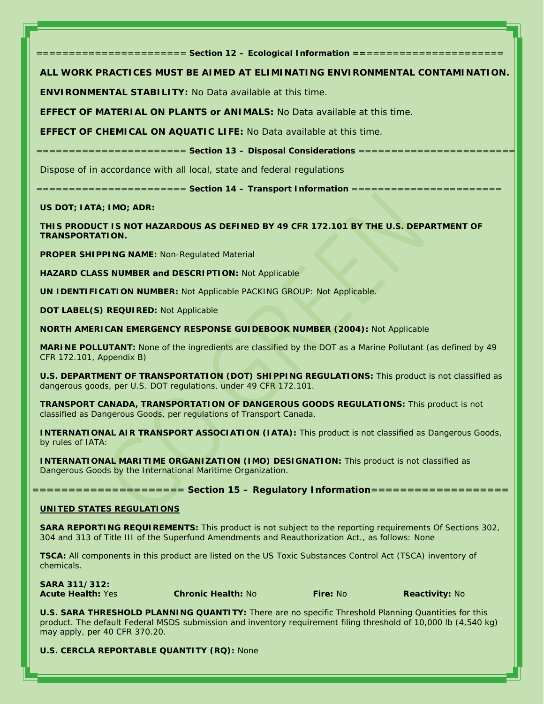$=$  **Section 12 - Ecological Information =** 

**ALL WORK PRACTICES MUST BE AIMED AT ELIMINATING ENVIRONMENTAL CONTAMINATION.** 

**ENVIRONMENTAL STABILITY:** No Data available at this time.

**EFFECT OF MATERIAL ON PLANTS or ANIMALS:** No Data available at this time.

**EFFECT OF CHEMICAL ON AQUATIC LIFE:** No Data available at this time.

 $=$  **Section 13 - Disposal Considerations** =

Dispose of in accordance with all local, state and federal regulations

======================= **Section 14 – Transport Information** =======================

**US DOT; IATA; IMO; ADR:** 

**THIS PRODUCT IS NOT HAZARDOUS AS DEFINED BY 49 CFR 172.101 BY THE U.S. DEPARTMENT OF TRANSPORTATION.** 

**PROPER SHIPPING NAME:** Non-Regulated Material

**HAZARD CLASS NUMBER and DESCRIPTION:** Not Applicable

**UN IDENTIFICATION NUMBER:** Not Applicable PACKING GROUP: Not Applicable.

**DOT LABEL(S) REQUIRED:** Not Applicable

**NORTH AMERICAN EMERGENCY RESPONSE GUIDEBOOK NUMBER (2004):** Not Applicable

**MARINE POLLUTANT:** None of the ingredients are classified by the DOT as a Marine Pollutant (as defined by 49 CFR 172.101, Appendix B)

**U.S. DEPARTMENT OF TRANSPORTATION (DOT) SHIPPING REGULATIONS:** This product is not classified as dangerous goods, per U.S. DOT regulations, under 49 CFR 172.101.

**TRANSPORT CANADA, TRANSPORTATION OF DANGEROUS GOODS REGULATIONS:** This product is not classified as Dangerous Goods, per regulations of Transport Canada.

**INTERNATIONAL AIR TRANSPORT ASSOCIATION (IATA):** This product is not classified as Dangerous Goods, by rules of IATA:

**INTERNATIONAL MARITIME ORGANIZATION (IMO) DESIGNATION:** This product is not classified as Dangerous Goods by the International Maritime Organization.

===================== **Section 15 – Regulatory Information**===================

### **UNITED STATES REGULATIONS**

**SARA REPORTING REQUIREMENTS:** This product is not subject to the reporting requirements Of Sections 302, 304 and 313 of Title III of the Superfund Amendments and Reauthorization Act., as follows: None

**TSCA:** All components in this product are listed on the US Toxic Substances Control Act (TSCA) inventory of chemicals.

**SARA 311/312:**

*Acute Health:* Yes *Chronic Health:* No *Fire:* No *Reactivity:* No

**U.S. SARA THRESHOLD PLANNING QUANTITY:** There are no specific Threshold Planning Quantities for this product. The default Federal MSDS submission and inventory requirement filing threshold of 10,000 lb (4,540 kg) may apply, per 40 CFR 370.20.

**U.S. CERCLA REPORTABLE QUANTITY (RQ):** None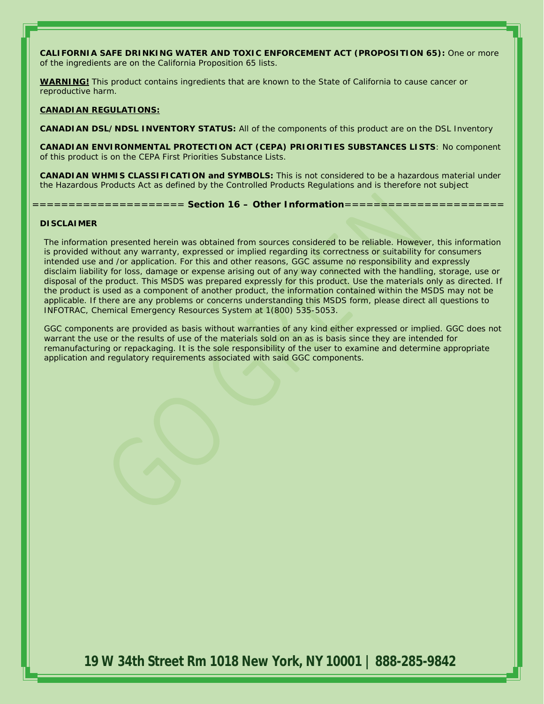**CALIFORNIA SAFE DRINKING WATER AND TOXIC ENFORCEMENT ACT (PROPOSITION 65):** One or more of the ingredients are on the California Proposition 65 lists.

**WARNING!** This product contains ingredients that are known to the State of California to cause cancer or reproductive harm.

## **CANADIAN REGULATIONS:**

**CANADIAN DSL/NDSL INVENTORY STATUS:** All of the components of this product are on the DSL Inventory

**CANADIAN ENVIRONMENTAL PROTECTION ACT (CEPA) PRIORITIES SUBSTANCES LISTS**: No component of this product is on the CEPA First Priorities Substance Lists.

**CANADIAN WHMIS CLASSIFICATION and SYMBOLS:** This is not considered to be a hazardous material under the Hazardous Products Act as defined by the Controlled Products Regulations and is therefore not subject

===================== **Section 16 – Other Information**======================

## **DISCLAIMER**

The information presented herein was obtained from sources considered to be reliable. However, this information is provided without any warranty, expressed or implied regarding its correctness or suitability for consumers intended use and /or application. For this and other reasons, GGC assume no responsibility and expressly disclaim liability for loss, damage or expense arising out of any way connected with the handling, storage, use or disposal of the product. This MSDS was prepared expressly for this product. Use the materials only as directed. If the product is used as a component of another product, the information contained within the MSDS may not be applicable. If there are any problems or concerns understanding this MSDS form, please direct all questions to INFOTRAC, Chemical Emergency Resources System at 1(800) 535-5053.

GGC components are provided as basis without warranties of any kind either expressed or implied. GGC does not warrant the use or the results of use of the materials sold on an as is basis since they are intended for remanufacturing or repackaging. It is the sole responsibility of the user to examine and determine appropriate application and regulatory requirements associated with said GGC components.

**19 W 34th Street Rm 1018 New York, NY 10001 | 888-285-9842**